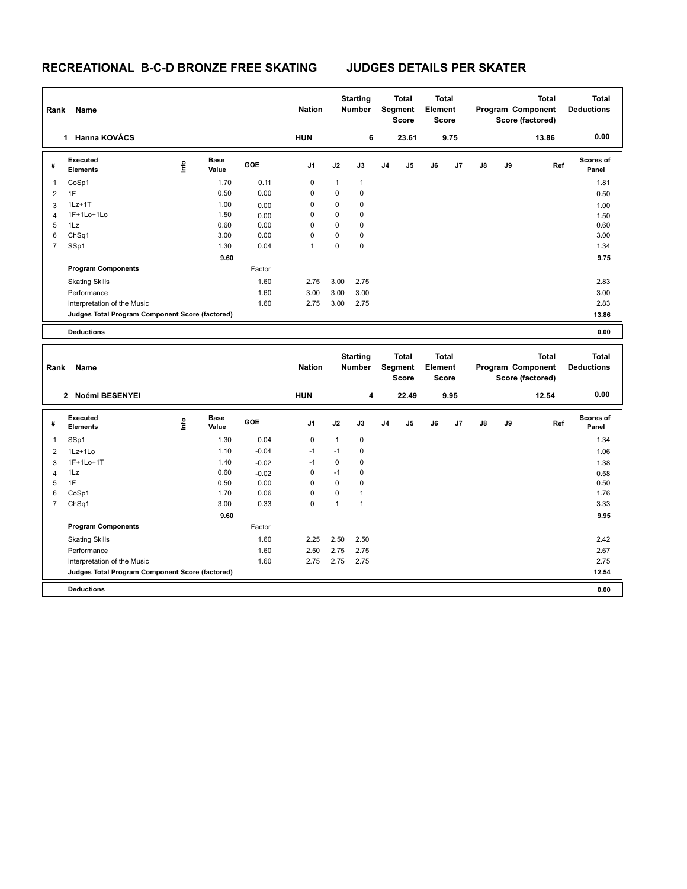| Rank | Name                                            |      |                      |            | <b>Nation</b>  |              | <b>Starting</b><br><b>Number</b> | Segment        | <b>Total</b><br><b>Score</b> | <b>Total</b><br>Element<br><b>Score</b> |      |               |    | <b>Total</b><br>Program Component<br>Score (factored) | <b>Total</b><br><b>Deductions</b> |
|------|-------------------------------------------------|------|----------------------|------------|----------------|--------------|----------------------------------|----------------|------------------------------|-----------------------------------------|------|---------------|----|-------------------------------------------------------|-----------------------------------|
|      | Hanna KOVÁCS<br>1                               |      |                      |            | <b>HUN</b>     |              | 6                                |                | 23.61                        |                                         | 9.75 |               |    | 13.86                                                 | 0.00                              |
| #    | <b>Executed</b><br><b>Elements</b>              | lnfo | <b>Base</b><br>Value | <b>GOE</b> | J <sub>1</sub> | J2           | J3                               | J <sub>4</sub> | J <sub>5</sub>               | J6                                      | J7   | $\mathsf{J}8$ | J9 | Ref                                                   | Scores of<br>Panel                |
| 1    | CoSp1                                           |      | 1.70                 | 0.11       | 0              | $\mathbf{1}$ | $\mathbf{1}$                     |                |                              |                                         |      |               |    |                                                       | 1.81                              |
| 2    | 1F                                              |      | 0.50                 | 0.00       | 0              | 0            | 0                                |                |                              |                                         |      |               |    |                                                       | 0.50                              |
| 3    | $1Lz+1T$                                        |      | 1.00                 | 0.00       | 0              | 0            | 0                                |                |                              |                                         |      |               |    |                                                       | 1.00                              |
| 4    | 1F+1Lo+1Lo                                      |      | 1.50                 | 0.00       | 0              | 0            | 0                                |                |                              |                                         |      |               |    |                                                       | 1.50                              |
| 5    | 1Lz                                             |      | 0.60                 | 0.00       | $\Omega$       | 0            | 0                                |                |                              |                                         |      |               |    |                                                       | 0.60                              |
| 6    | Ch <sub>Sq1</sub>                               |      | 3.00                 | 0.00       | $\Omega$       | 0            | 0                                |                |                              |                                         |      |               |    |                                                       | 3.00                              |
| 7    | SSp1                                            |      | 1.30                 | 0.04       | $\mathbf{1}$   | 0            | 0                                |                |                              |                                         |      |               |    |                                                       | 1.34                              |
|      |                                                 |      | 9.60                 |            |                |              |                                  |                |                              |                                         |      |               |    |                                                       | 9.75                              |
|      | <b>Program Components</b>                       |      |                      | Factor     |                |              |                                  |                |                              |                                         |      |               |    |                                                       |                                   |
|      | <b>Skating Skills</b>                           |      |                      | 1.60       | 2.75           | 3.00         | 2.75                             |                |                              |                                         |      |               |    |                                                       | 2.83                              |
|      | Performance                                     |      |                      | 1.60       | 3.00           | 3.00         | 3.00                             |                |                              |                                         |      |               |    |                                                       | 3.00                              |
|      | Interpretation of the Music                     |      |                      | 1.60       | 2.75           | 3.00         | 2.75                             |                |                              |                                         |      |               |    |                                                       | 2.83                              |
|      | Judges Total Program Component Score (factored) |      |                      |            |                |              |                                  |                |                              |                                         |      |               |    |                                                       | 13.86                             |
|      | <b>Deductions</b>                               |      |                      |            |                |              |                                  |                |                              |                                         |      |               |    |                                                       | 0.00                              |
|      |                                                 |      |                      |            |                |              |                                  |                |                              |                                         |      |               |    |                                                       |                                   |
| Rank | <b>Name</b>                                     |      |                      |            | <b>Nation</b>  |              | <b>Starting</b><br>Number        | Segment        | <b>Total</b><br><b>Score</b> | <b>Total</b><br>Element<br><b>Score</b> |      |               |    | <b>Total</b><br>Program Component<br>Score (factored) | <b>Total</b><br><b>Deductions</b> |

|                |                                                 |      |               |            |                |      |             |                | <b>Score</b>   | <b>Score</b> |      |    |    | Score (factored) |                    |
|----------------|-------------------------------------------------|------|---------------|------------|----------------|------|-------------|----------------|----------------|--------------|------|----|----|------------------|--------------------|
|                | 2 Noémi BESENYEI                                |      |               |            | <b>HUN</b>     |      | 4           |                | 22.49          |              | 9.95 |    |    | 12.54            | 0.00               |
| #              | Executed<br><b>Elements</b>                     | lnfo | Base<br>Value | <b>GOE</b> | J <sub>1</sub> | J2   | J3          | J <sub>4</sub> | J <sub>5</sub> | J6           | J7   | J8 | J9 | Ref              | Scores of<br>Panel |
| $\overline{1}$ | SSp1                                            |      | 1.30          | 0.04       | $\mathbf 0$    | 1    | $\mathbf 0$ |                |                |              |      |    |    |                  | 1.34               |
| 2              | 1Lz+1Lo                                         |      | 1.10          | $-0.04$    | $-1$           | $-1$ | 0           |                |                |              |      |    |    |                  | 1.06               |
| 3              | 1F+1Lo+1T                                       |      | 1.40          | $-0.02$    | $-1$           | 0    | 0           |                |                |              |      |    |    |                  | 1.38               |
| $\overline{4}$ | 1Lz                                             |      | 0.60          | $-0.02$    | 0              | $-1$ | 0           |                |                |              |      |    |    |                  | 0.58               |
| 5              | 1F                                              |      | 0.50          | 0.00       | 0              | 0    | 0           |                |                |              |      |    |    |                  | 0.50               |
| 6              | CoSp1                                           |      | 1.70          | 0.06       | 0              | 0    | 1           |                |                |              |      |    |    |                  | 1.76               |
| 7              | Ch <sub>Sq1</sub>                               |      | 3.00          | 0.33       | 0              | 1    | $\mathbf 1$ |                |                |              |      |    |    |                  | 3.33               |
|                |                                                 |      | 9.60          |            |                |      |             |                |                |              |      |    |    |                  | 9.95               |
|                | <b>Program Components</b>                       |      |               | Factor     |                |      |             |                |                |              |      |    |    |                  |                    |
|                | <b>Skating Skills</b>                           |      |               | 1.60       | 2.25           | 2.50 | 2.50        |                |                |              |      |    |    |                  | 2.42               |
|                | Performance                                     |      |               | 1.60       | 2.50           | 2.75 | 2.75        |                |                |              |      |    |    |                  | 2.67               |
|                | Interpretation of the Music                     |      |               | 1.60       | 2.75           | 2.75 | 2.75        |                |                |              |      |    |    |                  | 2.75               |
|                | Judges Total Program Component Score (factored) |      |               |            |                |      |             |                |                |              |      |    |    |                  | 12.54              |
|                | <b>Deductions</b>                               |      |               |            |                |      |             |                |                |              |      |    |    |                  | 0.00               |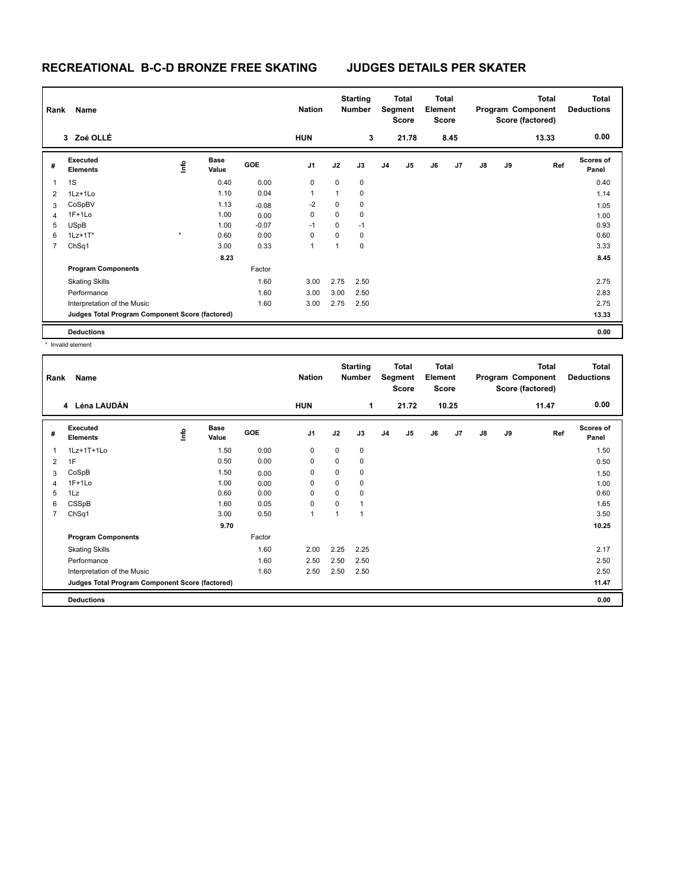| <b>Name</b><br>Rank |                                                 |             |                      | <b>Nation</b> |                | <b>Starting</b><br>Number |             | Total<br>Segment<br>Score |                | Total<br>Element<br><b>Score</b> |      |               | <b>Total</b><br>Program Component<br>Score (factored) | <b>Total</b><br><b>Deductions</b> |                    |
|---------------------|-------------------------------------------------|-------------|----------------------|---------------|----------------|---------------------------|-------------|---------------------------|----------------|----------------------------------|------|---------------|-------------------------------------------------------|-----------------------------------|--------------------|
|                     | 3 Zoé OLLÉ                                      |             |                      |               | <b>HUN</b>     |                           | 3           |                           | 21.78          |                                  | 8.45 |               |                                                       | 13.33                             | 0.00               |
| #                   | Executed<br><b>Elements</b>                     | <u>info</u> | <b>Base</b><br>Value | GOE           | J <sub>1</sub> | J2                        | J3          | J <sub>4</sub>            | J <sub>5</sub> | J6                               | J7   | $\mathsf{J}8$ | J9                                                    | Ref                               | Scores of<br>Panel |
|                     | 1S                                              |             | 0.40                 | 0.00          | 0              | 0                         | 0           |                           |                |                                  |      |               |                                                       |                                   | 0.40               |
| $\overline{2}$      | 1Lz+1Lo                                         |             | 1.10                 | 0.04          | 1              | 1                         | $\mathbf 0$ |                           |                |                                  |      |               |                                                       |                                   | 1.14               |
| 3                   | CoSpBV                                          |             | 1.13                 | $-0.08$       | $-2$           | $\Omega$                  | 0           |                           |                |                                  |      |               |                                                       |                                   | 1.05               |
| $\overline{4}$      | $1F+1Lo$                                        |             | 1.00                 | 0.00          | 0              | $\Omega$                  | $\mathbf 0$ |                           |                |                                  |      |               |                                                       |                                   | 1.00               |
| 5                   | <b>USpB</b>                                     |             | 1.00                 | $-0.07$       | $-1$           | 0                         | $-1$        |                           |                |                                  |      |               |                                                       |                                   | 0.93               |
| 6                   | $1Lz+1T*$                                       | $\star$     | 0.60                 | 0.00          | 0              | $\mathbf 0$               | 0           |                           |                |                                  |      |               |                                                       |                                   | 0.60               |
| $\overline{7}$      | ChSq1                                           |             | 3.00                 | 0.33          | 1              | 1                         | 0           |                           |                |                                  |      |               |                                                       |                                   | 3.33               |
|                     |                                                 |             | 8.23                 |               |                |                           |             |                           |                |                                  |      |               |                                                       |                                   | 8.45               |
|                     | <b>Program Components</b>                       |             |                      | Factor        |                |                           |             |                           |                |                                  |      |               |                                                       |                                   |                    |
|                     | <b>Skating Skills</b>                           |             |                      | 1.60          | 3.00           | 2.75                      | 2.50        |                           |                |                                  |      |               |                                                       |                                   | 2.75               |
|                     | Performance                                     |             |                      | 1.60          | 3.00           | 3.00                      | 2.50        |                           |                |                                  |      |               |                                                       |                                   | 2.83               |
|                     | Interpretation of the Music                     |             |                      | 1.60          | 3.00           | 2.75                      | 2.50        |                           |                |                                  |      |               |                                                       |                                   | 2.75               |
|                     | Judges Total Program Component Score (factored) |             |                      |               |                |                           |             |                           |                |                                  |      |               |                                                       |                                   | 13.33              |
|                     | <b>Deductions</b>                               |             |                      |               |                |                           |             |                           |                |                                  |      |               |                                                       |                                   | 0.00               |

\* Invalid element

| <b>Name</b><br>Rank |                                                 |      |                      |        |                |             | <b>Starting</b><br><b>Number</b> |                | Total<br>Segment<br><b>Score</b> |    | <b>Total</b><br>Element<br><b>Score</b> |               |    | <b>Total</b><br>Program Component<br>Score (factored) | <b>Total</b><br><b>Deductions</b> |
|---------------------|-------------------------------------------------|------|----------------------|--------|----------------|-------------|----------------------------------|----------------|----------------------------------|----|-----------------------------------------|---------------|----|-------------------------------------------------------|-----------------------------------|
|                     | 4 Léna LAUDÁN                                   |      |                      |        | <b>HUN</b>     |             | 1                                |                | 21.72                            |    | 10.25                                   |               |    | 11.47                                                 | 0.00                              |
| #                   | Executed<br><b>Elements</b>                     | lnfo | <b>Base</b><br>Value | GOE    | J <sub>1</sub> | J2          | J3                               | J <sub>4</sub> | J <sub>5</sub>                   | J6 | J7                                      | $\mathsf{J}8$ | J9 | Ref                                                   | <b>Scores of</b><br>Panel         |
| $\overline{1}$      | 1Lz+1T+1Lo                                      |      | 1.50                 | 0.00   | 0              | $\mathbf 0$ | 0                                |                |                                  |    |                                         |               |    |                                                       | 1.50                              |
| $\overline{2}$      | 1F                                              |      | 0.50                 | 0.00   | $\mathbf 0$    | $\mathbf 0$ | 0                                |                |                                  |    |                                         |               |    |                                                       | 0.50                              |
| 3                   | CoSpB                                           |      | 1.50                 | 0.00   | 0              | 0           | 0                                |                |                                  |    |                                         |               |    |                                                       | 1.50                              |
| 4                   | $1F+1Lo$                                        |      | 1.00                 | 0.00   | 0              | 0           | 0                                |                |                                  |    |                                         |               |    |                                                       | 1.00                              |
| 5                   | 1Lz                                             |      | 0.60                 | 0.00   | 0              | $\Omega$    | 0                                |                |                                  |    |                                         |               |    |                                                       | 0.60                              |
| 6                   | CSSpB                                           |      | 1.60                 | 0.05   | $\mathbf 0$    | $\mathbf 0$ | $\mathbf{1}$                     |                |                                  |    |                                         |               |    |                                                       | 1.65                              |
| 7                   | ChSq1                                           |      | 3.00                 | 0.50   | $\overline{1}$ |             | $\overline{1}$                   |                |                                  |    |                                         |               |    |                                                       | 3.50                              |
|                     |                                                 |      | 9.70                 |        |                |             |                                  |                |                                  |    |                                         |               |    |                                                       | 10.25                             |
|                     | <b>Program Components</b>                       |      |                      | Factor |                |             |                                  |                |                                  |    |                                         |               |    |                                                       |                                   |
|                     | <b>Skating Skills</b>                           |      |                      | 1.60   | 2.00           | 2.25        | 2.25                             |                |                                  |    |                                         |               |    |                                                       | 2.17                              |
|                     | Performance                                     |      |                      | 1.60   | 2.50           | 2.50        | 2.50                             |                |                                  |    |                                         |               |    |                                                       | 2.50                              |
|                     | Interpretation of the Music                     |      |                      | 1.60   | 2.50           | 2.50        | 2.50                             |                |                                  |    |                                         |               |    |                                                       | 2.50                              |
|                     | Judges Total Program Component Score (factored) |      |                      |        |                |             |                                  |                |                                  |    |                                         |               |    |                                                       | 11.47                             |
|                     | <b>Deductions</b>                               |      |                      |        |                |             |                                  |                |                                  |    |                                         |               |    |                                                       | 0.00                              |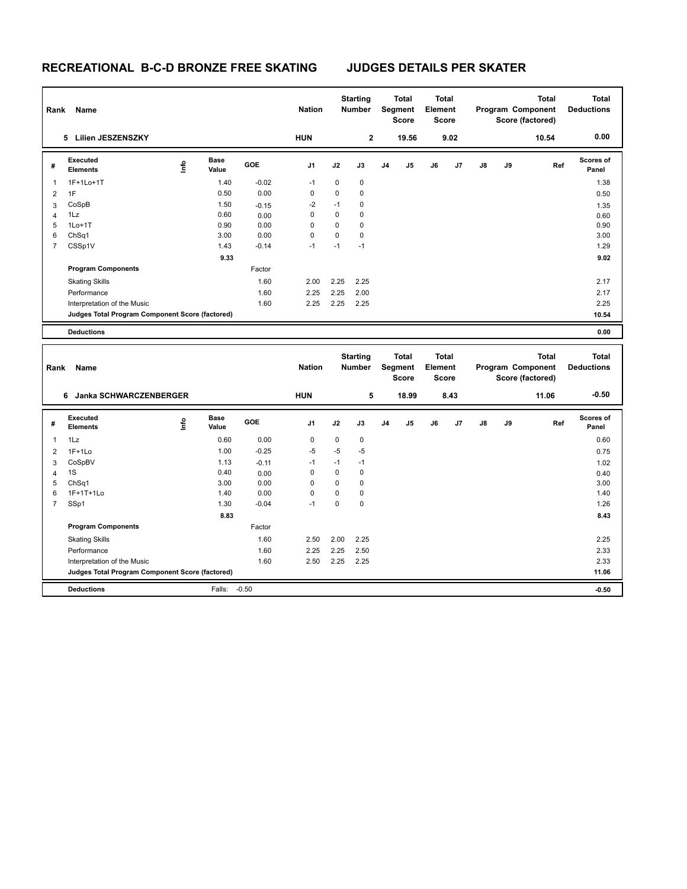**Program Components** 

| Rank           | Name                                            |      |                      |         | <b>Nation</b>  |                                  | <b>Starting</b><br><b>Number</b> |                                                | <b>Total</b><br>Segment<br><b>Score</b> | <b>Total</b><br>Element<br><b>Score</b> |      |    |    | <b>Total</b><br>Program Component<br>Score (factored) | <b>Total</b><br><b>Deductions</b> |
|----------------|-------------------------------------------------|------|----------------------|---------|----------------|----------------------------------|----------------------------------|------------------------------------------------|-----------------------------------------|-----------------------------------------|------|----|----|-------------------------------------------------------|-----------------------------------|
|                | <b>Lilien JESZENSZKY</b><br>5                   |      |                      |         | <b>HUN</b>     |                                  | 2                                |                                                | 19.56                                   |                                         | 9.02 |    |    | 10.54                                                 | 0.00                              |
| #              | Executed<br><b>Elements</b>                     | lnfo | <b>Base</b><br>Value | GOE     | J <sub>1</sub> | J2                               | J3                               | J <sub>4</sub>                                 | J5                                      | J6                                      | J7   | J8 | J9 | Ref                                                   | <b>Scores of</b><br>Panel         |
| 1              | 1F+1Lo+1T                                       |      | 1.40                 | $-0.02$ | $-1$           | $\mathbf 0$                      | 0                                |                                                |                                         |                                         |      |    |    |                                                       | 1.38                              |
| $\overline{2}$ | 1F                                              |      | 0.50                 | 0.00    | $\mathbf 0$    | $\mathbf 0$                      | $\mathbf 0$                      |                                                |                                         |                                         |      |    |    |                                                       | 0.50                              |
| 3              | CoSpB                                           |      | 1.50                 | $-0.15$ | $-2$           | $-1$                             | 0                                |                                                |                                         |                                         |      |    |    |                                                       | 1.35                              |
| $\overline{4}$ | 1Lz                                             |      | 0.60                 | 0.00    | 0              | 0                                | 0                                |                                                |                                         |                                         |      |    |    |                                                       | 0.60                              |
| 5              | $1Lo+1T$                                        |      | 0.90                 | 0.00    | $\Omega$       | $\Omega$                         | 0                                |                                                |                                         |                                         |      |    |    |                                                       | 0.90                              |
| 6              | ChSq1                                           |      | 3.00                 | 0.00    | $\mathbf 0$    | $\mathbf 0$                      | $\mathbf 0$                      |                                                |                                         |                                         |      |    |    |                                                       | 3.00                              |
| $\overline{7}$ | CSSp1V                                          |      | 1.43                 | $-0.14$ | $-1$           | $-1$                             | $-1$                             |                                                |                                         |                                         |      |    |    |                                                       | 1.29                              |
|                |                                                 |      | 9.33                 |         |                |                                  |                                  |                                                |                                         |                                         |      |    |    |                                                       | 9.02                              |
|                | <b>Program Components</b>                       |      |                      | Factor  |                |                                  |                                  |                                                |                                         |                                         |      |    |    |                                                       |                                   |
|                | <b>Skating Skills</b>                           |      |                      | 1.60    | 2.00           | 2.25                             | 2.25                             |                                                |                                         |                                         |      |    |    |                                                       | 2.17                              |
|                | Performance                                     |      |                      | 1.60    | 2.25           | 2.25                             | 2.00                             |                                                |                                         |                                         |      |    |    |                                                       | 2.17                              |
|                | Interpretation of the Music                     |      |                      | 1.60    | 2.25           | 2.25                             | 2.25                             |                                                |                                         |                                         |      |    |    |                                                       | 2.25                              |
|                | Judges Total Program Component Score (factored) |      |                      |         |                |                                  |                                  |                                                |                                         |                                         |      |    |    |                                                       | 10.54                             |
|                | <b>Deductions</b>                               |      |                      |         |                |                                  |                                  |                                                |                                         |                                         |      |    |    |                                                       | 0.00                              |
|                |                                                 |      |                      |         |                |                                  |                                  |                                                |                                         |                                         |      |    |    |                                                       |                                   |
| Rank<br>Name   |                                                 |      |                      |         | <b>Nation</b>  | <b>Starting</b><br><b>Number</b> |                                  | <b>Total</b><br><b>Segment</b><br><b>Score</b> |                                         | <b>Total</b><br>Element<br><b>Score</b> |      |    |    | <b>Total</b><br>Program Component<br>Score (factored) | <b>Total</b><br><b>Deductions</b> |
|                | 6 Janka SCHWARCZENBERGER                        |      |                      |         | <b>HUN</b>     |                                  | 5                                |                                                | 18.99                                   |                                         | 8.43 |    |    | 11.06                                                 | $-0.50$                           |
| #              | Executed<br><b>Elements</b>                     | ١nfo | <b>Base</b><br>Value | GOE     | J <sub>1</sub> | J2                               | J3                               | J <sub>4</sub>                                 | J <sub>5</sub>                          | J6                                      | J7   | J8 | J9 | Ref                                                   | <b>Scores of</b><br>Panel         |
| 1              | 1Lz                                             |      | 0.60                 | 0.00    | 0              | $\mathbf 0$                      | 0                                |                                                |                                         |                                         |      |    |    |                                                       | 0.60                              |
| $\overline{2}$ | $1F+1Lo$                                        |      | 1.00                 | $-0.25$ | $-5$           | $-5$                             | $-5$                             |                                                |                                         |                                         |      |    |    |                                                       | 0.75                              |
| 3              | CoSpBV                                          |      | 1.13                 | $-0.11$ | $-1$           | $-1$                             | $-1$                             |                                                |                                         |                                         |      |    |    |                                                       | 1.02                              |
| 4              | 1S                                              |      | 0.40                 | 0.00    | $\mathbf 0$    | $\Omega$                         | 0                                |                                                |                                         |                                         |      |    |    |                                                       | 0.40                              |

5 ChSq1 3.00 0.00 0 0 0 3.00 6 1F+1T+1Lo 1.40 0.00 0 0 0 1.40 7 SSp1 1.30 -0.04 -1 0 0 1.26

Factor

Skating Skills 2.50 2.00 2.25 1.60 2.25

Performance 2.33 2.25 2.25 2.25 2.25 2.25 2.50 2.33 Interpretation of the Music 2.33 2.95 2.25 2.25 2.25 2.25 2.33 2.33

**Deductions** Falls: -0.50 **-0.50 Judges Total Program Component Score (factored) 11.06**

 **8.83 8.43**